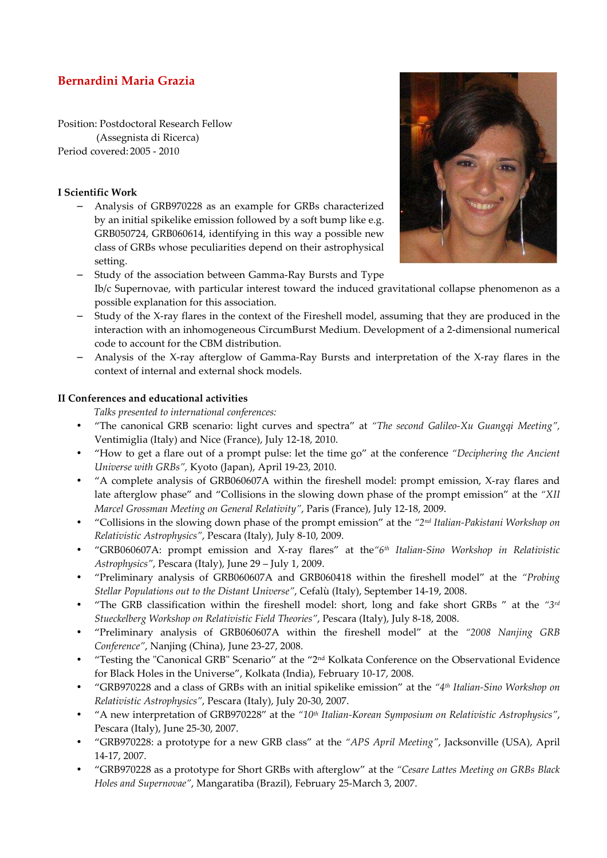# **Bernardini Maria Grazia**

Position: Postdoctoral Research Fellow (Assegnista di Ricerca) Period covered: 2005 - 2010

### **I Scientific Work**

− Analysis of GRB970228 as an example for GRBs characterized by an initial spikelike emission followed by a soft bump like e.g. GRB050724, GRB060614, identifying in this way a possible new class of GRBs whose peculiarities depend on their astrophysical setting.



- Study of the association between Gamma-Ray Bursts and Type Ib/c Supernovae, with particular interest toward the induced gravitational collapse phenomenon as a possible explanation for this association.
- Study of the X-ray flares in the context of the Fireshell model, assuming that they are produced in the interaction with an inhomogeneous CircumBurst Medium. Development of a 2-dimensional numerical code to account for the CBM distribution.
- − Analysis of the X-ray afterglow of Gamma-Ray Bursts and interpretation of the X-ray flares in the context of internal and external shock models.

## **II Conferences and educational activities**

 *Talks presented to international conferences:* 

- "The canonical GRB scenario: light curves and spectra" at *"The second Galileo-Xu Guangqi Meeting",* Ventimiglia (Italy) and Nice (France), July 12-18, 2010.
- "How to get a flare out of a prompt pulse: let the time go" at the conference *"Deciphering the Ancient Universe with GRBs",* Kyoto (Japan), April 19-23, 2010.
- "A complete analysis of GRB060607A within the fireshell model: prompt emission, X-ray flares and late afterglow phase" and "Collisions in the slowing down phase of the prompt emission" at the *"XII Marcel Grossman Meeting on General Relativity"*, Paris (France), July 12-18, 2009.
- "Collisions in the slowing down phase of the prompt emission" at the *"2nd Italian-Pakistani Workshop on Relativistic Astrophysics"*, Pescara (Italy), July 8-10, 2009.
- "GRB060607A: prompt emission and X-ray flares" at the*"6th Italian-Sino Workshop in Relativistic Astrophysics"*, Pescara (Italy), June 29 – July 1, 2009.
- "Preliminary analysis of GRB060607A and GRB060418 within the fireshell model" at the *"Probing Stellar Populations out to the Distant Universe"*, Cefalù (Italy), September 14-19, 2008.
- "The GRB classification within the fireshell model: short, long and fake short GRBs " at the *"3rd Stueckelberg Workshop on Relativistic Field Theories"*, Pescara (Italy), July 8-18, 2008.
- "Preliminary analysis of GRB060607A within the fireshell model" at the *"2008 Nanjing GRB Conference"*, Nanjing (China), June 23-27, 2008.
- "Testing the "Canonical GRB" Scenario" at the "2nd Kolkata Conference on the Observational Evidence for Black Holes in the Universe", Kolkata (India), February 10-17, 2008.
- "GRB970228 and a class of GRBs with an initial spikelike emission" at the *"4th Italian-Sino Workshop on Relativistic Astrophysics"*, Pescara (Italy), July 20-30, 2007.
- "A new interpretation of GRB970228" at the *"10th Italian-Korean Symposium on Relativistic Astrophysics"*, Pescara (Italy), June 25-30, 2007.
- "GRB970228: a prototype for a new GRB class" at the *"APS April Meeting"*, Jacksonville (USA), April 14-17, 2007.
- "GRB970228 as a prototype for Short GRBs with afterglow" at the *"Cesare Lattes Meeting on GRBs Black Holes and Supernovae"*, Mangaratiba (Brazil), February 25-March 3, 2007.